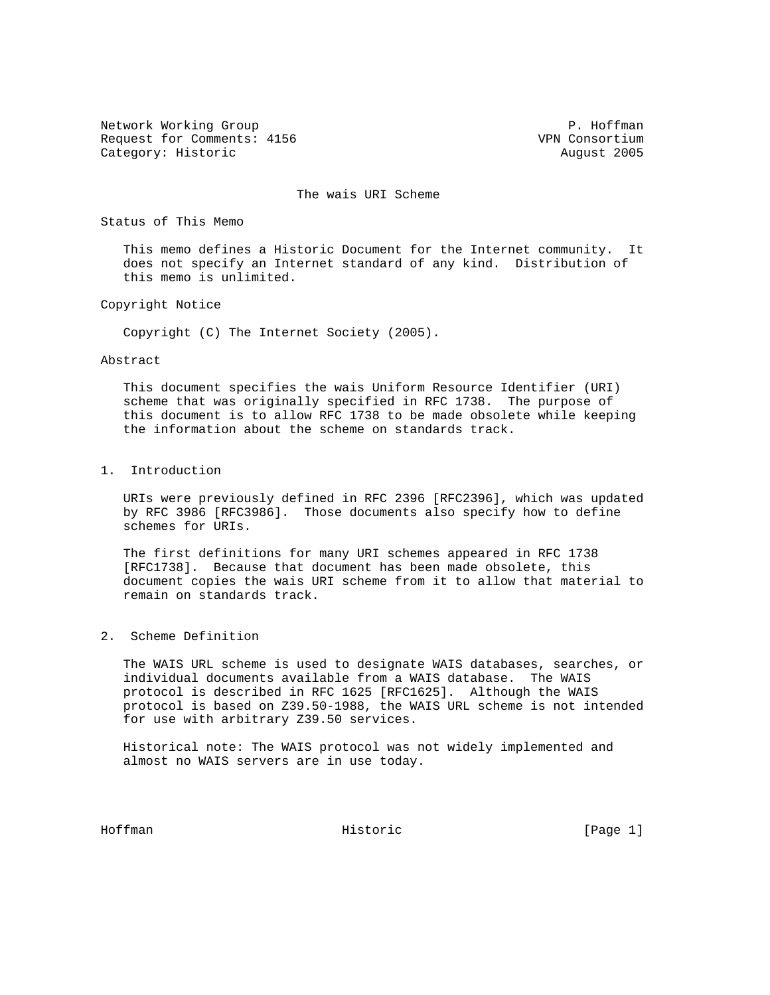Network Working Group **P. Hoffman** Request for Comments: 4156 VPN Consortium Category: Historic **August 2005** 

The wais URI Scheme

Status of This Memo

 This memo defines a Historic Document for the Internet community. It does not specify an Internet standard of any kind. Distribution of this memo is unlimited.

Copyright Notice

Copyright (C) The Internet Society (2005).

## Abstract

 This document specifies the wais Uniform Resource Identifier (URI) scheme that was originally specified in RFC 1738. The purpose of this document is to allow RFC 1738 to be made obsolete while keeping the information about the scheme on standards track.

## 1. Introduction

 URIs were previously defined in RFC 2396 [RFC2396], which was updated by RFC 3986 [RFC3986]. Those documents also specify how to define schemes for URIs.

 The first definitions for many URI schemes appeared in RFC 1738 [RFC1738]. Because that document has been made obsolete, this document copies the wais URI scheme from it to allow that material to remain on standards track.

## 2. Scheme Definition

 The WAIS URL scheme is used to designate WAIS databases, searches, or individual documents available from a WAIS database. The WAIS protocol is described in RFC 1625 [RFC1625]. Although the WAIS protocol is based on Z39.50-1988, the WAIS URL scheme is not intended for use with arbitrary Z39.50 services.

 Historical note: The WAIS protocol was not widely implemented and almost no WAIS servers are in use today.

Hoffman **Historic** Historic [Page 1]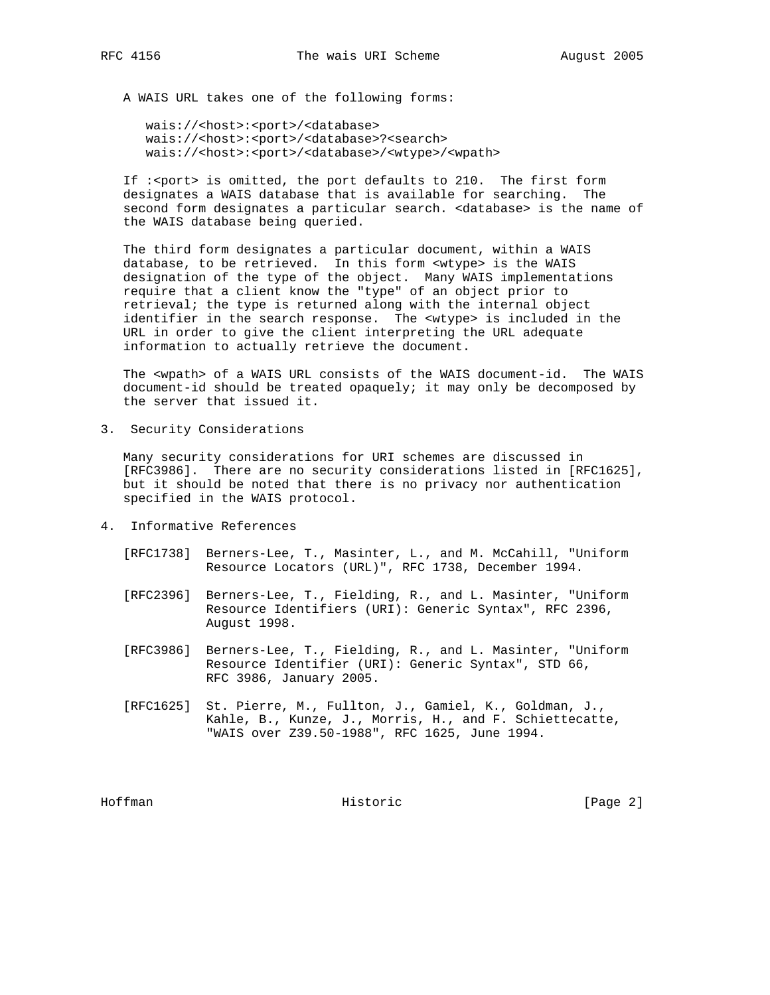A WAIS URL takes one of the following forms:

wais://<host>:<port>/<database> wais://<host>:<port>/<database>?<search> wais://<host>:<port>/<database>/<wtype>/<wpath>

 If :<port> is omitted, the port defaults to 210. The first form designates a WAIS database that is available for searching. The second form designates a particular search. <database> is the name of the WAIS database being queried.

 The third form designates a particular document, within a WAIS database, to be retrieved. In this form <wtype> is the WAIS designation of the type of the object. Many WAIS implementations require that a client know the "type" of an object prior to retrieval; the type is returned along with the internal object identifier in the search response. The <wtype> is included in the URL in order to give the client interpreting the URL adequate information to actually retrieve the document.

 The <wpath> of a WAIS URL consists of the WAIS document-id. The WAIS document-id should be treated opaquely; it may only be decomposed by the server that issued it.

3. Security Considerations

 Many security considerations for URI schemes are discussed in [RFC3986]. There are no security considerations listed in [RFC1625], but it should be noted that there is no privacy nor authentication specified in the WAIS protocol.

- 4. Informative References
	- [RFC1738] Berners-Lee, T., Masinter, L., and M. McCahill, "Uniform Resource Locators (URL)", RFC 1738, December 1994.
	- [RFC2396] Berners-Lee, T., Fielding, R., and L. Masinter, "Uniform Resource Identifiers (URI): Generic Syntax", RFC 2396, August 1998.
	- [RFC3986] Berners-Lee, T., Fielding, R., and L. Masinter, "Uniform Resource Identifier (URI): Generic Syntax", STD 66, RFC 3986, January 2005.
	- [RFC1625] St. Pierre, M., Fullton, J., Gamiel, K., Goldman, J., Kahle, B., Kunze, J., Morris, H., and F. Schiettecatte, "WAIS over Z39.50-1988", RFC 1625, June 1994.

Hoffman Historic [Page 2]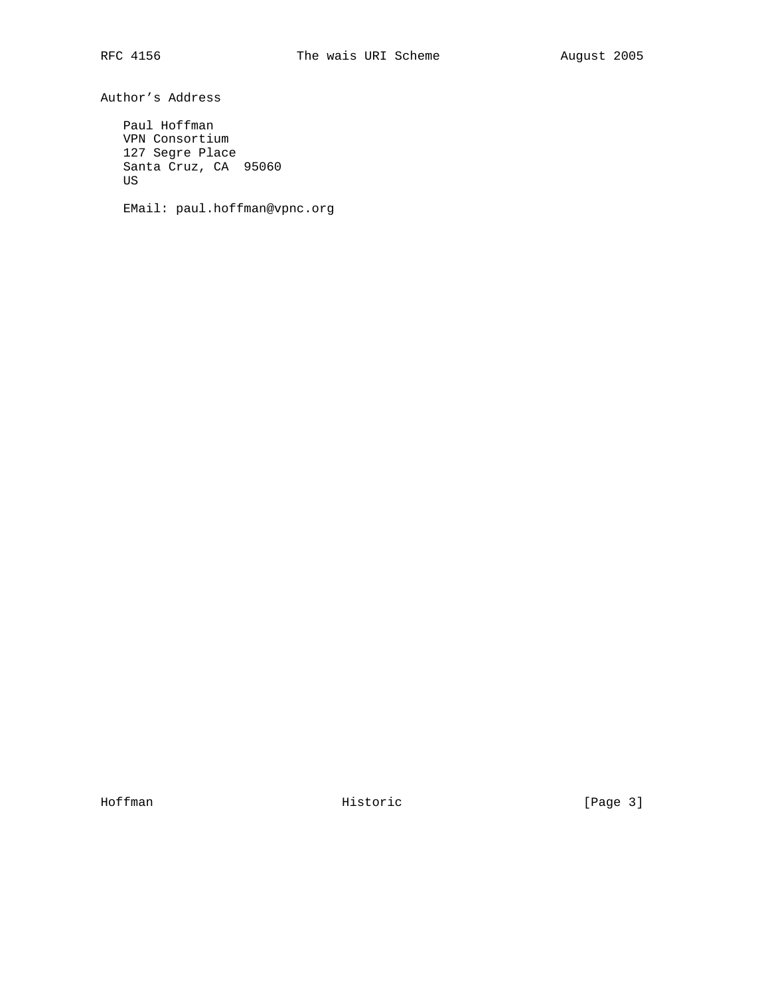Author's Address

 Paul Hoffman VPN Consortium 127 Segre Place Santa Cruz, CA 95060 US

EMail: paul.hoffman@vpnc.org

Hoffman **Historic** Historic [Page 3]